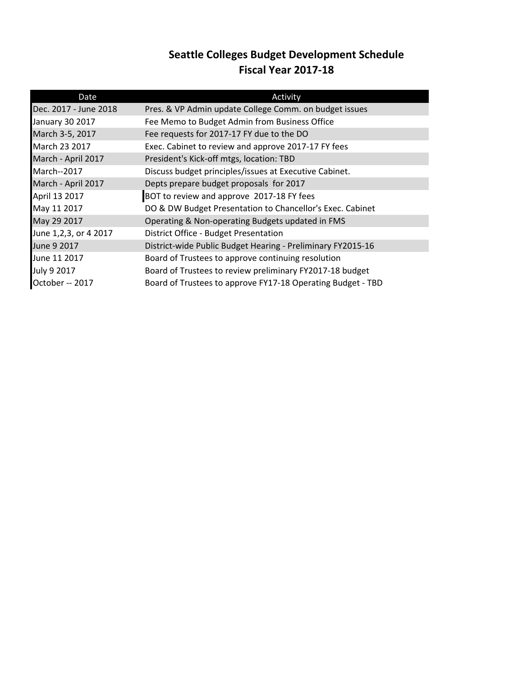## **Seattle Colleges Budget Development Schedule Fiscal Year 2017-18**

| Date                   | Activity                                                    |  |
|------------------------|-------------------------------------------------------------|--|
| Dec. 2017 - June 2018  | Pres. & VP Admin update College Comm. on budget issues      |  |
| <b>January 30 2017</b> | Fee Memo to Budget Admin from Business Office               |  |
| March 3-5, 2017        | Fee requests for 2017-17 FY due to the DO                   |  |
| March 23 2017          | Exec. Cabinet to review and approve 2017-17 FY fees         |  |
| March - April 2017     | President's Kick-off mtgs, location: TBD                    |  |
| <b>March--2017</b>     | Discuss budget principles/issues at Executive Cabinet.      |  |
| March - April 2017     | Depts prepare budget proposals for 2017                     |  |
| April 13 2017          | BOT to review and approve 2017-18 FY fees                   |  |
| May 11 2017            | DO & DW Budget Presentation to Chancellor's Exec. Cabinet   |  |
| May 29 2017            | Operating & Non-operating Budgets updated in FMS            |  |
| June 1,2,3, or 4 2017  | District Office - Budget Presentation                       |  |
| June 9 2017            | District-wide Public Budget Hearing - Preliminary FY2015-16 |  |
| June 11 2017           | Board of Trustees to approve continuing resolution          |  |
| July 9 2017            | Board of Trustees to review preliminary FY2017-18 budget    |  |
| October -- 2017        | Board of Trustees to approve FY17-18 Operating Budget - TBD |  |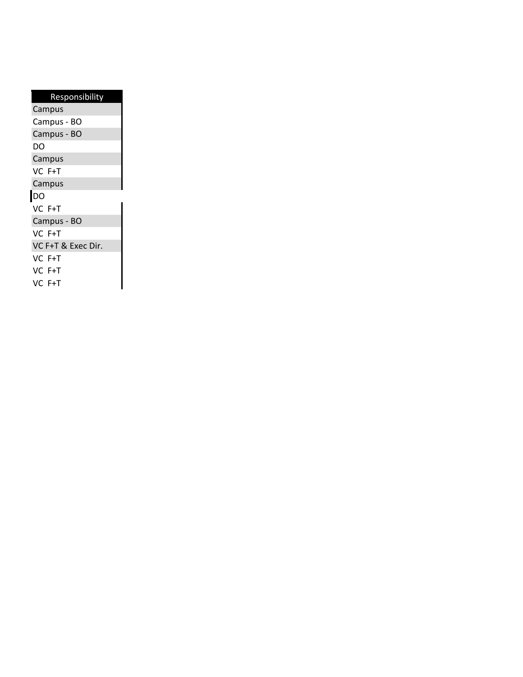| Responsibility     |  |  |  |  |
|--------------------|--|--|--|--|
| Campus             |  |  |  |  |
| Campus - BO        |  |  |  |  |
| Campus - BO        |  |  |  |  |
| DO                 |  |  |  |  |
| Campus             |  |  |  |  |
| VC F+T             |  |  |  |  |
| Campus             |  |  |  |  |
| <b>DO</b>          |  |  |  |  |
| VC F+T             |  |  |  |  |
| Campus - BO        |  |  |  |  |
| VC F+T             |  |  |  |  |
| VC F+T & Exec Dir. |  |  |  |  |
| VC F+T             |  |  |  |  |
| VC F+T             |  |  |  |  |
| VC F+T             |  |  |  |  |